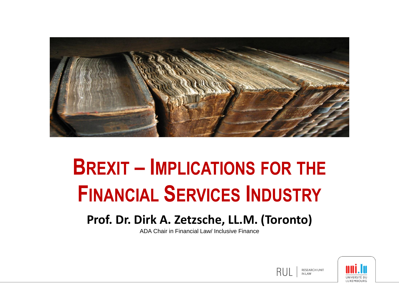

## **BREXIT – IMPLICATIONS FOR THE FINANCIAL SERVICES INDUSTRY**

#### **Prof. Dr. Dirk A. Zetzsche, LL.M. (Toronto)**

ADA Chair in Financial Law/ Inclusive Finance



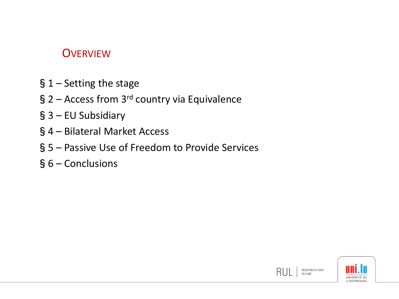#### **OVERVIEW**

- §1 Setting the stage
- § 2 Access from 3<sup>rd</sup> country via Equivalence
- §3 EU Subsidiary
- §4 Bilateral Market Access
- §5 Passive Use of Freedom to Provide Services
- §6 Conclusions



RUL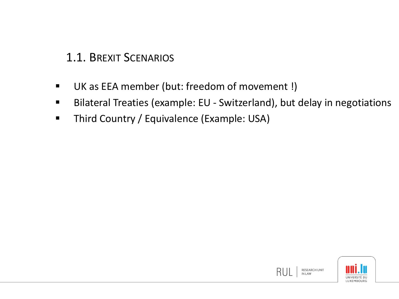1.1. BREXIT SCENARIOS

- UK as EEA member (but: freedom of movement !)
- Bilateral Treaties (example: EU Switzerland), but delay in negotiations
- **Third Country / Equivalence (Example: USA)**

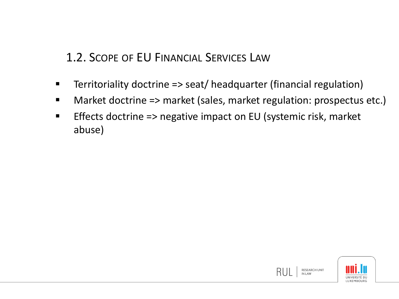1.2. SCOPE OF EU FINANCIAL SERVICES LAW

- Territoriality doctrine => seat/ headquarter (financial regulation)
- Market doctrine => market (sales, market regulation: prospectus etc.)
- Effects doctrine => negative impact on EU (systemic risk, market abuse)

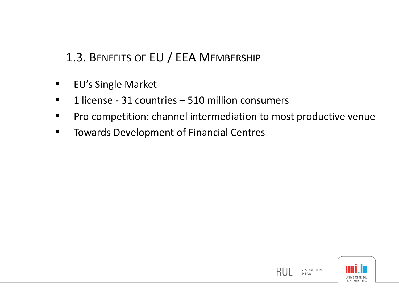### 1.3. BENEFITS OF EU / EEA MEMBERSHIP

- **EU's Single Market**
- $\blacksquare$  1 license 31 countries 510 million consumers
- **Pro competition: channel intermediation to most productive venue**
- **TOWARD DEVELOPMENT OF FINANCIAL CENTERS**

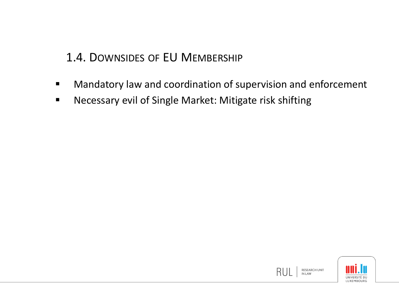#### 1.4. DOWNSIDES OF EU MEMBERSHIP

- **Mandatory law and coordination of supervision and enforcement**
- Necessary evil of Single Market: Mitigate risk shifting

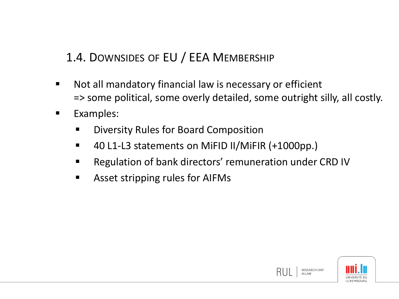### 1.4. DOWNSIDES OF EU / EEA MEMBERSHIP

- Not all mandatory financial law is necessary or efficient => some political, some overly detailed, some outright silly, all costly.
- Examples:
	- **EXED** Diversity Rules for Board Composition
	- 40 L1-L3 statements on MiFID II/MiFIR (+1000pp.)
	- **Regulation of bank directors' remuneration under CRD IV**
	- Asset stripping rules for AIFMs

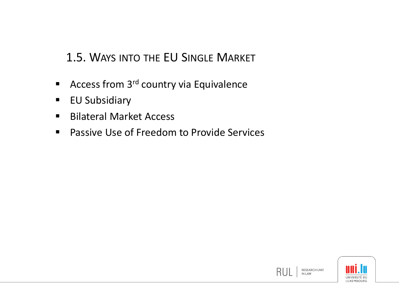#### 1.5. WAYS INTO THE EU SINGLE MARKET

- Access from  $3<sup>rd</sup>$  country via Equivalence
- **EU Subsidiary**
- Bilateral Market Access
- Passive Use of Freedom to Provide Services

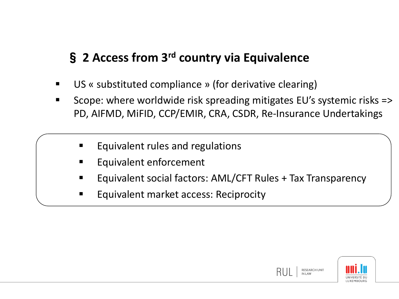## § **2 Access from 3rd country via Equivalence**

- US « substituted compliance » (for derivative clearing)
- Scope: where worldwide risk spreading mitigates EU's systemic risks => PD, AIFMD, MiFID, CCP/EMIR, CRA, CSDR, Re-Insurance Undertakings
	- Equivalent rules and regulations
	- Equivalent enforcement
	- Equivalent social factors: AML/CFT Rules + Tax Transparency
	- Equivalent market access: Reciprocity

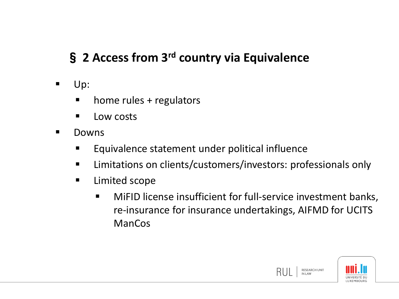## § **2 Access from 3rd country via Equivalence**

- Up:
	- **n** home rules + regulators
	- **Low costs**
- **Downs** 
	- **Equivalence statement under political influence**
	- **EXTED EXECTS** Limitations on clients/customers/investors: professionals only
	- **E** Limited scope
		- MiFID license insufficient for full-service investment banks, re-insurance for insurance undertakings, AIFMD for UCITS ManCos



RESEARCH UNIT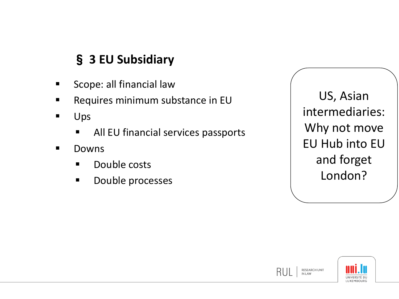## § **3 EU Subsidiary**

- Scope: all financial law
- **Requires minimum substance in EU**
- **Ups** 
	- **All EU financial services passports**
- **Downs** 
	- **Double costs**
	- **Double processes**

US, Asian intermediaries: Why not move EU Hub into EU and forget London?



**RESEARCH UNIT** 

RL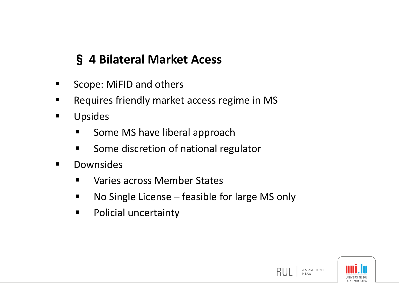## § **4 Bilateral Market Acess**

- Scope: MiFID and others
- **Requires friendly market access regime in MS**
- **Upsides** 
	- **Some MS have liberal approach**
	- **Some discretion of national regulator**
- **Downsides** 
	- **Naries across Member States**
	- No Single License feasible for large MS only
	- **Policial uncertainty**

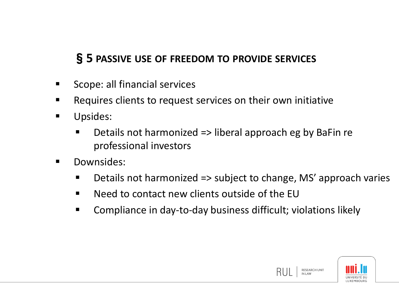#### §**5 PASSIVE USE OF FREEDOM TO PROVIDE SERVICES**

- Scope: all financial services
- Requires clients to request services on their own initiative
- **Upsides:** 
	- Details not harmonized => liberal approach eg by BaFin re professional investors
- Downsides:
	- Details not harmonized => subject to change, MS' approach varies
	- Need to contact new clients outside of the EU
	- Compliance in day-to-day business difficult; violations likely



RESEARCH UNIT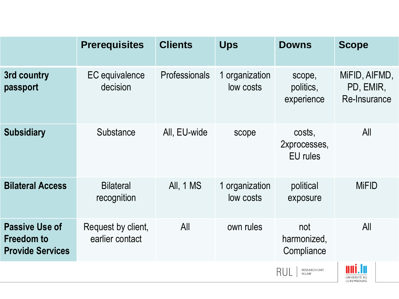|                                                                       | <b>Prerequisites</b>                  | <b>Clients</b> | <b>Ups</b>                  | <b>Downs</b>                              | <b>Scope</b>                                 |
|-----------------------------------------------------------------------|---------------------------------------|----------------|-----------------------------|-------------------------------------------|----------------------------------------------|
| 3rd country<br>passport                                               | EC equivalence<br>decision            | Professionals  | 1 organization<br>low costs | scope,<br>politics,<br>experience         | MIFID, AIFMD,<br>PD, EMIR,<br>Re-Insurance   |
| <b>Subsidiary</b>                                                     | Substance                             | All, EU-wide   | scope                       | costs,<br>2xprocesses,<br><b>EU</b> rules | All                                          |
| <b>Bilateral Access</b>                                               | <b>Bilateral</b><br>recognition       | All, 1 MS      | 1 organization<br>low costs | political<br>exposure                     | <b>MiFID</b>                                 |
| <b>Passive Use of</b><br><b>Freedom to</b><br><b>Provide Services</b> | Request by client,<br>earlier contact | All            | own rules                   | not<br>harmonized,<br>Compliance          | All                                          |
|                                                                       |                                       |                |                             | RESEARCH UNIT<br>IN LAW<br>RUL            | nni.In<br>UNIVERSITÉ DU<br><b>IUXEMROURG</b> |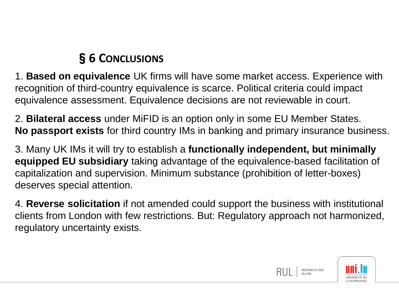## §**6 CONCLUSIONS**

1. **Based on equivalence** UK firms will have some market access. Experience with recognition of third-country equivalence is scarce. Political criteria could impact equivalence assessment. Equivalence decisions are not reviewable in court.

2. **Bilateral access** under MiFID is an option only in some EU Member States. **No passport exists** for third country IMs in banking and primary insurance business.

3. Many UK IMs it will try to establish a **functionally independent, but minimally equipped EU subsidiary** taking advantage of the equivalence-based facilitation of capitalization and supervision. Minimum substance (prohibition of letter-boxes) deserves special attention.

4. **Reverse solicitation** if not amended could support the business with institutional clients from London with few restrictions. But: Regulatory approach not harmonized, regulatory uncertainty exists.



**RESEARCH UNIT**